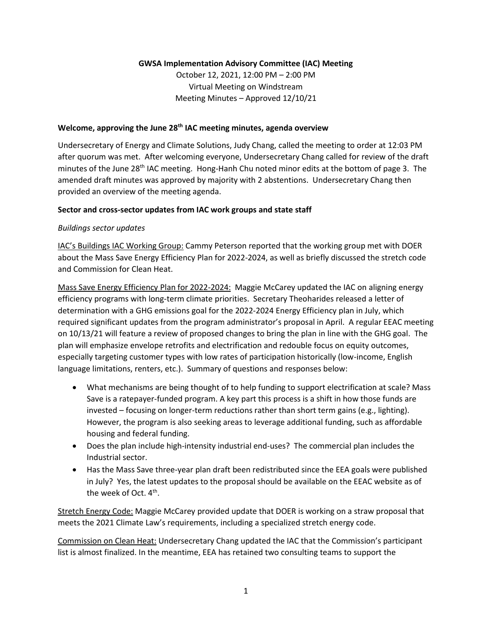# **GWSA Implementation Advisory Committee (IAC) Meeting**

October 12, 2021, 12:00 PM – 2:00 PM Virtual Meeting on Windstream Meeting Minutes – Approved 12/10/21

### **Welcome, approving the June 28th IAC meeting minutes, agenda overview**

Undersecretary of Energy and Climate Solutions, Judy Chang, called the meeting to order at 12:03 PM after quorum was met. After welcoming everyone, Undersecretary Chang called for review of the draft minutes of the June 28<sup>th</sup> IAC meeting. Hong-Hanh Chu noted minor edits at the bottom of page 3. The amended draft minutes was approved by majority with 2 abstentions. Undersecretary Chang then provided an overview of the meeting agenda.

# **Sector and cross-sector updates from IAC work groups and state staff**

#### *Buildings sector updates*

IAC's Buildings IAC Working Group: Cammy Peterson reported that the working group met with DOER about the Mass Save Energy Efficiency Plan for 2022-2024, as well as briefly discussed the stretch code and Commission for Clean Heat.

Mass Save Energy Efficiency Plan for 2022-2024: Maggie McCarey updated the IAC on aligning energy efficiency programs with long-term climate priorities. Secretary Theoharides released a letter of determination with a GHG emissions goal for the 2022-2024 Energy Efficiency plan in July, which required significant updates from the program administrator's proposal in April. A regular EEAC meeting on 10/13/21 will feature a review of proposed changes to bring the plan in line with the GHG goal. The plan will emphasize envelope retrofits and electrification and redouble focus on equity outcomes, especially targeting customer types with low rates of participation historically (low-income, English language limitations, renters, etc.). Summary of questions and responses below:

- What mechanisms are being thought of to help funding to support electrification at scale? Mass Save is a ratepayer-funded program. A key part this process is a shift in how those funds are invested – focusing on longer-term reductions rather than short term gains (e.g., lighting). However, the program is also seeking areas to leverage additional funding, such as affordable housing and federal funding.
- Does the plan include high-intensity industrial end-uses? The commercial plan includes the Industrial sector.
- Has the Mass Save three-year plan draft been redistributed since the EEA goals were published in July? Yes, the latest updates to the proposal should be available on the EEAC website as of the week of Oct. 4<sup>th</sup>.

Stretch Energy Code: Maggie McCarey provided update that DOER is working on a straw proposal that meets the 2021 Climate Law's requirements, including a specialized stretch energy code.

Commission on Clean Heat: Undersecretary Chang updated the IAC that the Commission's participant list is almost finalized. In the meantime, EEA has retained two consulting teams to support the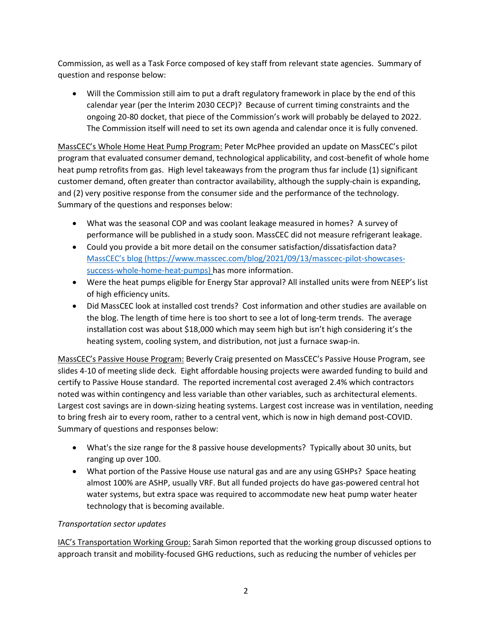Commission, as well as a Task Force composed of key staff from relevant state agencies. Summary of question and response below:

• Will the Commission still aim to put a draft regulatory framework in place by the end of this calendar year (per the Interim 2030 CECP)? Because of current timing constraints and the ongoing 20-80 docket, that piece of the Commission's work will probably be delayed to 2022. The Commission itself will need to set its own agenda and calendar once it is fully convened.

MassCEC's Whole Home Heat Pump Program: Peter McPhee provided an update on MassCEC's pilot program that evaluated consumer demand, technological applicability, and cost-benefit of whole home heat pump retrofits from gas. High level takeaways from the program thus far include (1) significant customer demand, often greater than contractor availability, although the supply-chain is expanding, and (2) very positive response from the consumer side and the performance of the technology. Summary of the questions and responses below:

- What was the seasonal COP and was coolant leakage measured in homes? A survey of performance will be published in a study soon. MassCEC did not measure refrigerant leakage.
- Could you provide a bit more detail on the consumer satisfaction/dissatisfaction data? Mass[CEC's blog](https://www.masscec.com/blog/2021/09/13/masscec-pilot-showcases-success-whole-home-heat-pumps) [\(https://www.masscec.com/blog/2021/09/13/masscec-pilot-showcases](https://www.masscec.com/blog/2021/09/13/masscec-pilot-showcases-success-whole-home-heat-pumps)[success-whole-home-heat-pumps\)](https://www.masscec.com/blog/2021/09/13/masscec-pilot-showcases-success-whole-home-heat-pumps) has more information.
- Were the heat pumps eligible for Energy Star approval? All installed units were from NEEP's list of high efficiency units.
- Did MassCEC look at installed cost trends? Cost information and other studies are available on the blog. The length of time here is too short to see a lot of long-term trends. The average installation cost was about \$18,000 which may seem high but isn't high considering it's the heating system, cooling system, and distribution, not just a furnace swap-in.

MassCEC's Passive House Program: Beverly Craig presented on MassCEC's Passive House Program, see slides 4-10 of meeting slide deck. Eight affordable housing projects were awarded funding to build and certify to Passive House standard. The reported incremental cost averaged 2.4% which contractors noted was within contingency and less variable than other variables, such as architectural elements. Largest cost savings are in down-sizing heating systems. Largest cost increase was in ventilation, needing to bring fresh air to every room, rather to a central vent, which is now in high demand post-COVID. Summary of questions and responses below:

- What's the size range for the 8 passive house developments? Typically about 30 units, but ranging up over 100.
- What portion of the Passive House use natural gas and are any using GSHPs? Space heating almost 100% are ASHP, usually VRF. But all funded projects do have gas-powered central hot water systems, but extra space was required to accommodate new heat pump water heater technology that is becoming available.

# *Transportation sector updates*

IAC's Transportation Working Group: Sarah Simon reported that the working group discussed options to approach transit and mobility-focused GHG reductions, such as reducing the number of vehicles per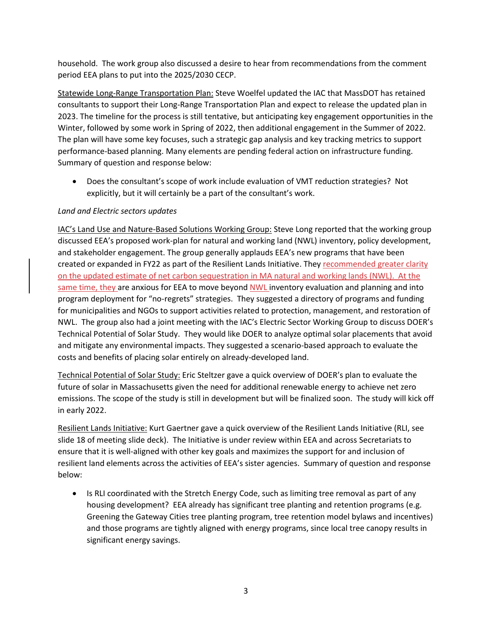household. The work group also discussed a desire to hear from recommendations from the comment period EEA plans to put into the 2025/2030 CECP.

Statewide Long-Range Transportation Plan: Steve Woelfel updated the IAC that MassDOT has retained consultants to support their Long-Range Transportation Plan and expect to release the updated plan in 2023. The timeline for the process is still tentative, but anticipating key engagement opportunities in the Winter, followed by some work in Spring of 2022, then additional engagement in the Summer of 2022. The plan will have some key focuses, such a strategic gap analysis and key tracking metrics to support performance-based planning. Many elements are pending federal action on infrastructure funding. Summary of question and response below:

• Does the consultant's scope of work include evaluation of VMT reduction strategies? Not explicitly, but it will certainly be a part of the consultant's work.

# *Land and Electric sectors updates*

IAC's Land Use and Nature-Based Solutions Working Group: Steve Long reported that the working group discussed EEA's proposed work-plan for natural and working land (NWL) inventory, policy development, and stakeholder engagement. The group generally applauds EEA's new programs that have been created or expanded in FY22 as part of the Resilient Lands Initiative. They recommended greater clarity on the updated estimate of net carbon sequestration in MA natural and working lands (NWL). At the same time, they are anxious for EEA to move beyond NWL inventory evaluation and planning and into program deployment for "no-regrets" strategies. They suggested a directory of programs and funding for municipalities and NGOs to support activities related to protection, management, and restoration of NWL. The group also had a joint meeting with the IAC's Electric Sector Working Group to discuss DOER's Technical Potential of Solar Study. They would like DOER to analyze optimal solar placements that avoid and mitigate any environmental impacts. They suggested a scenario-based approach to evaluate the costs and benefits of placing solar entirely on already-developed land.

Technical Potential of Solar Study: Eric Steltzer gave a quick overview of DOER's plan to evaluate the future of solar in Massachusetts given the need for additional renewable energy to achieve net zero emissions. The scope of the study is still in development but will be finalized soon. The study will kick off in early 2022.

Resilient Lands Initiative: Kurt Gaertner gave a quick overview of the Resilient Lands Initiative (RLI, see slide 18 of meeting slide deck). The Initiative is under review within EEA and across Secretariats to ensure that it is well-aligned with other key goals and maximizes the support for and inclusion of resilient land elements across the activities of EEA's sister agencies. Summary of question and response below:

• Is RLI coordinated with the Stretch Energy Code, such as limiting tree removal as part of any housing development? EEA already has significant tree planting and retention programs (e.g. Greening the Gateway Cities tree planting program, tree retention model bylaws and incentives) and those programs are tightly aligned with energy programs, since local tree canopy results in significant energy savings.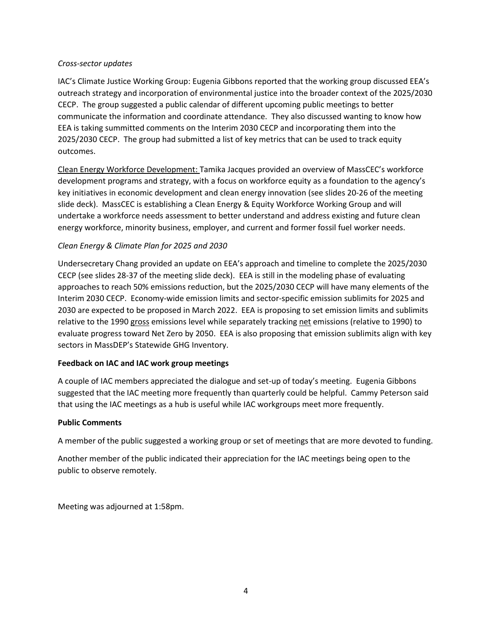# *Cross-sector updates*

IAC's Climate Justice Working Group: Eugenia Gibbons reported that the working group discussed EEA's outreach strategy and incorporation of environmental justice into the broader context of the 2025/2030 CECP. The group suggested a public calendar of different upcoming public meetings to better communicate the information and coordinate attendance. They also discussed wanting to know how EEA is taking summitted comments on the Interim 2030 CECP and incorporating them into the 2025/2030 CECP. The group had submitted a list of key metrics that can be used to track equity outcomes.

Clean Energy Workforce Development: Tamika Jacques provided an overview of MassCEC's workforce development programs and strategy, with a focus on workforce equity as a foundation to the agency's key initiatives in economic development and clean energy innovation (see slides 20-26 of the meeting slide deck). MassCEC is establishing a Clean Energy & Equity Workforce Working Group and will undertake a workforce needs assessment to better understand and address existing and future clean energy workforce, minority business, employer, and current and former fossil fuel worker needs.

# *Clean Energy & Climate Plan for 2025 and 2030*

Undersecretary Chang provided an update on EEA's approach and timeline to complete the 2025/2030 CECP (see slides 28-37 of the meeting slide deck). EEA is still in the modeling phase of evaluating approaches to reach 50% emissions reduction, but the 2025/2030 CECP will have many elements of the Interim 2030 CECP. Economy-wide emission limits and sector-specific emission sublimits for 2025 and 2030 are expected to be proposed in March 2022. EEA is proposing to set emission limits and sublimits relative to the 1990 gross emissions level while separately tracking net emissions (relative to 1990) to evaluate progress toward Net Zero by 2050. EEA is also proposing that emission sublimits align with key sectors in MassDEP's Statewide GHG Inventory.

# **Feedback on IAC and IAC work group meetings**

A couple of IAC members appreciated the dialogue and set-up of today's meeting. Eugenia Gibbons suggested that the IAC meeting more frequently than quarterly could be helpful. Cammy Peterson said that using the IAC meetings as a hub is useful while IAC workgroups meet more frequently.

# **Public Comments**

A member of the public suggested a working group or set of meetings that are more devoted to funding.

Another member of the public indicated their appreciation for the IAC meetings being open to the public to observe remotely.

Meeting was adjourned at 1:58pm.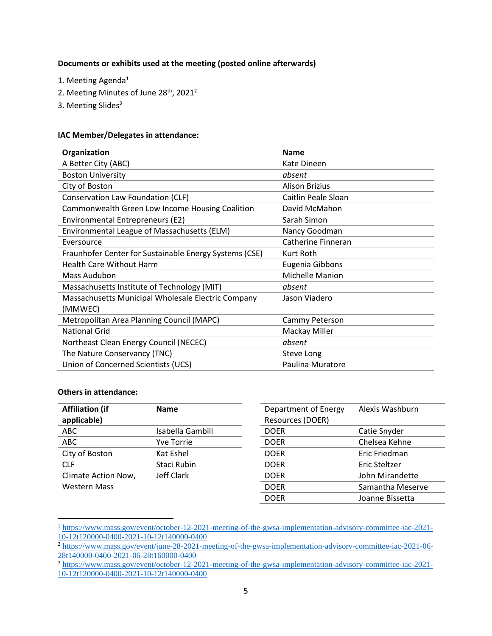### **Documents or exhibits used at the meeting (posted online afterwards)**

- 1. Meeting Agenda<sup>1</sup>
- 2. Meeting Minutes of June 28<sup>th</sup>, 2021<sup>2</sup>
- 3. Meeting Slides<sup>3</sup>

### **IAC Member/Delegates in attendance:**

| Organization                                           | <b>Name</b>           |
|--------------------------------------------------------|-----------------------|
| A Better City (ABC)                                    | Kate Dineen           |
| <b>Boston University</b>                               | absent                |
| City of Boston                                         | <b>Alison Brizius</b> |
| Conservation Law Foundation (CLF)                      | Caitlin Peale Sloan   |
| Commonwealth Green Low Income Housing Coalition        | David McMahon         |
| Environmental Entrepreneurs (E2)                       | Sarah Simon           |
| Environmental League of Massachusetts (ELM)            | Nancy Goodman         |
| Eversource                                             | Catherine Finneran    |
| Fraunhofer Center for Sustainable Energy Systems (CSE) | Kurt Roth             |
| <b>Health Care Without Harm</b>                        | Eugenia Gibbons       |
| Mass Audubon                                           | Michelle Manion       |
| Massachusetts Institute of Technology (MIT)            | absent                |
| Massachusetts Municipal Wholesale Electric Company     | Jason Viadero         |
| (MMWEC)                                                |                       |
| Metropolitan Area Planning Council (MAPC)              | Cammy Peterson        |
| <b>National Grid</b>                                   | Mackay Miller         |
| Northeast Clean Energy Council (NECEC)                 | absent                |
| The Nature Conservancy (TNC)                           | Steve Long            |
| Union of Concerned Scientists (UCS)                    | Paulina Muratore      |

#### **Others in attendance:**

| <b>Affiliation (if</b> | <b>Name</b>       | Department of Energy | Alexis Washburn  |
|------------------------|-------------------|----------------------|------------------|
| applicable)            |                   | Resources (DOER)     |                  |
| ABC                    | Isabella Gambill  | <b>DOER</b>          | Catie Snyder     |
| <b>ABC</b>             | <b>Yve Torrie</b> | <b>DOER</b>          | Chelsea Kehne    |
| City of Boston         | Kat Eshel         | <b>DOER</b>          | Eric Friedman    |
| <b>CLF</b>             | Staci Rubin       | <b>DOER</b>          | Eric Steltzer    |
| Climate Action Now,    | Jeff Clark        | <b>DOER</b>          | John Mirandette  |
| <b>Western Mass</b>    |                   | <b>DOER</b>          | Samantha Meserve |
|                        |                   | <b>DOER</b>          | Joanne Bissetta  |

<sup>1</sup> [https://www.mass.gov/event/october-12-2021-meeting-of-the-gwsa-implementation-advisory-committee-iac-2021-](https://www.mass.gov/event/october-12-2021-meeting-of-the-gwsa-implementation-advisory-committee-iac-2021-10-12t120000-0400-2021-10-12t140000-0400) [10-12t120000-0400-2021-10-12t140000-0400](https://www.mass.gov/event/october-12-2021-meeting-of-the-gwsa-implementation-advisory-committee-iac-2021-10-12t120000-0400-2021-10-12t140000-0400)

<sup>&</sup>lt;sup>2</sup> [https://www.mass.gov/event/june-28-2021-meeting-of-the-gwsa-implementation-advisory-committee-iac-2021-06-](https://www.mass.gov/event/june-28-2021-meeting-of-the-gwsa-implementation-advisory-committee-iac-2021-06-28t140000-0400-2021-06-28t160000-0400) [28t140000-0400-2021-06-28t160000-0400](https://www.mass.gov/event/june-28-2021-meeting-of-the-gwsa-implementation-advisory-committee-iac-2021-06-28t140000-0400-2021-06-28t160000-0400)

<sup>&</sup>lt;sup>3</sup> [https://www.mass.gov/event/october-12-2021-meeting-of-the-gwsa-implementation-advisory-committee-iac-2021-](https://www.mass.gov/event/october-12-2021-meeting-of-the-gwsa-implementation-advisory-committee-iac-2021-10-12t120000-0400-2021-10-12t140000-0400) [10-12t120000-0400-2021-10-12t140000-0400](https://www.mass.gov/event/october-12-2021-meeting-of-the-gwsa-implementation-advisory-committee-iac-2021-10-12t120000-0400-2021-10-12t140000-0400)